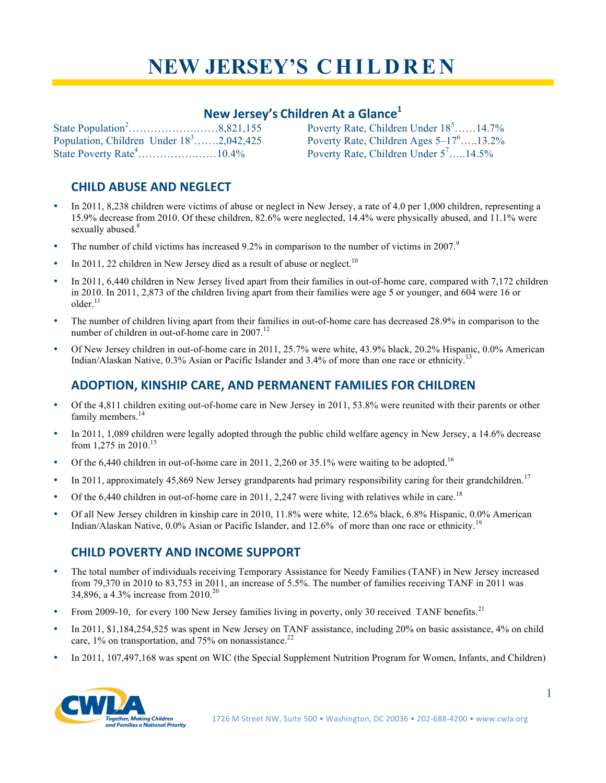# **NEW JERSEY'S C H I L D R E N**

# **New Jersey's Children At a Glance1**

| Population, Children Under $18^3$ 2,042,425 |  |
|---------------------------------------------|--|
|                                             |  |

Poverty Rate, Children Under  $18^5$ ......14.7% Poverty Rate, Children Ages  $5-17^6$ .....13.2% Poverty Rate, Children Under  $5^7$ .....14.5%

# **CHILD ABUSE AND NEGLECT**

- In 2011, 8,238 children were victims of abuse or neglect in New Jersey, a rate of 4.0 per 1,000 children, representing a 15.9% decrease from 2010. Of these children, 82.6% were neglected, 14.4% were physically abused, and 11.1% were sexually abused.<sup>8</sup>
- The number of child victims has increased 9.2% in comparison to the number of victims in 2007.<sup>9</sup>
- In 2011, 22 children in New Jersey died as a result of abuse or neglect.<sup>10</sup>
- In 2011, 6,440 children in New Jersey lived apart from their families in out-of-home care, compared with 7,172 children in 2010. In 2011, 2,873 of the children living apart from their families were age 5 or younger, and 604 were 16 or  $older<sup>11</sup>$
- The number of children living apart from their families in out-of-home care has decreased 28.9% in comparison to the number of children in out-of-home care in  $2007$ .<sup>12</sup>
- Of New Jersey children in out-of-home care in 2011, 25.7% were white, 43.9% black, 20.2% Hispanic, 0.0% American Indian/Alaskan Native, 0.3% Asian or Pacific Islander and 3.4% of more than one race or ethnicity.<sup>13</sup>

#### **ADOPTION, KINSHIP CARE, AND PERMANENT FAMILIES FOR CHILDREN**

- Of the 4,811 children exiting out-of-home care in New Jersey in 2011, 53.8% were reunited with their parents or other family members.<sup>14</sup>
- In 2011, 1,089 children were legally adopted through the public child welfare agency in New Jersey, a 14.6% decrease from 1,275 in 2010.<sup>15</sup>
- Of the 6,440 children in out-of-home care in 2011, 2,260 or 35.1% were waiting to be adopted.<sup>16</sup>
- In 2011, approximately 45,869 New Jersey grandparents had primary responsibility caring for their grandchildren.<sup>17</sup>
- Of the 6,440 children in out-of-home care in 2011, 2,247 were living with relatives while in care.<sup>18</sup>
- Of all New Jersey children in kinship care in 2010, 11.8% were white, 12.6% black, 6.8% Hispanic, 0.0% American Indian/Alaskan Native, 0.0% Asian or Pacific Islander, and 12.6% of more than one race or ethnicity.<sup>19</sup>

## **CHILD POVERTY AND INCOME SUPPORT**

- The total number of individuals receiving Temporary Assistance for Needy Families (TANF) in New Jersey increased from 79,370 in 2010 to 83,753 in 2011, an increase of 5.5%. The number of families receiving TANF in 2011 was 34,896, a 4.3% increase from 2010.<sup>20</sup>
- From 2009-10, for every 100 New Jersey families living in poverty, only 30 received TANF benefits.<sup>21</sup>
- In 2011, \$1,184,254,525 was spent in New Jersey on TANF assistance, including 20% on basic assistance, 4% on child care,  $1\%$  on transportation, and 75% on nonassistance.<sup>22</sup>
- In 2011, 107,497,168 was spent on WIC (the Special Supplement Nutrition Program for Women, Infants, and Children)

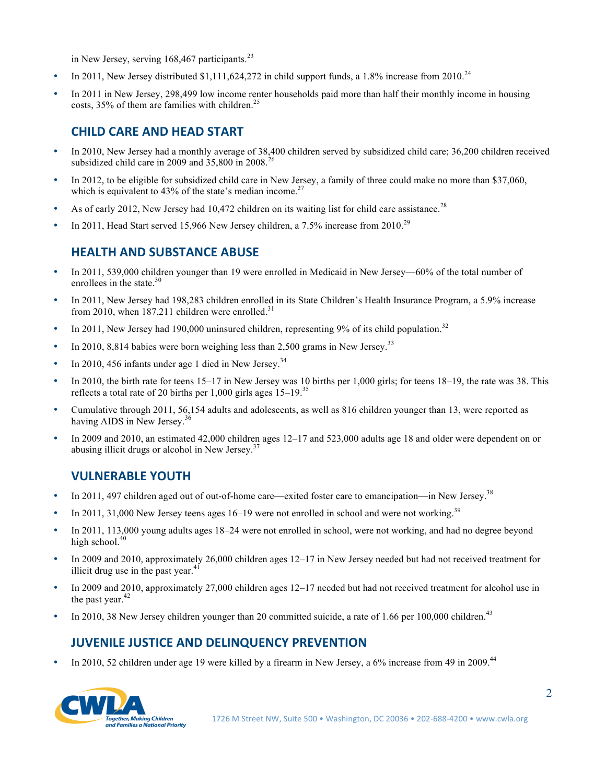in New Jersey, serving  $168,467$  participants.<sup>23</sup>

- In 2011, New Jersey distributed  $$1,111,624,272$  in child support funds, a 1.8% increase from 2010.<sup>24</sup>
- In 2011 in New Jersey, 298,499 low income renter households paid more than half their monthly income in housing costs,  $35\%$  of them are families with children.<sup>25</sup>

### **CHILD CARE AND HEAD START**

- In 2010, New Jersey had a monthly average of 38,400 children served by subsidized child care; 36,200 children received subsidized child care in 2009 and  $35,800$  in 2008.<sup>26</sup>
- In 2012, to be eligible for subsidized child care in New Jersey, a family of three could make no more than \$37,060, which is equivalent to 43% of the state's median income.<sup>27</sup>
- As of early 2012, New Jersey had 10,472 children on its waiting list for child care assistance.<sup>28</sup>
- In 2011, Head Start served 15,966 New Jersey children, a  $7.5\%$  increase from 2010.<sup>29</sup>

#### **HEALTH AND SUBSTANCE ABUSE**

- In 2011, 539,000 children younger than 19 were enrolled in Medicaid in New Jersey—60% of the total number of enrollees in the state. $30$
- In 2011, New Jersey had 198,283 children enrolled in its State Children's Health Insurance Program, a 5.9% increase from 2010, when  $187,211$  children were enrolled.<sup>31</sup>
- In 2011, New Jersey had 190,000 uninsured children, representing 9% of its child population.<sup>32</sup>
- In 2010, 8,814 babies were born weighing less than 2,500 grams in New Jersey.<sup>33</sup>
- In 2010, 456 infants under age 1 died in New Jersey. $34$
- In 2010, the birth rate for teens 15–17 in New Jersey was 10 births per 1,000 girls; for teens 18–19, the rate was 38. This reflects a total rate of 20 births per 1,000 girls ages 15–19.<sup>35</sup>
- Cumulative through 2011, 56,154 adults and adolescents, as well as 816 children younger than 13, were reported as having AIDS in New Jersey.<sup>36</sup>
- In 2009 and 2010, an estimated 42,000 children ages 12–17 and 523,000 adults age 18 and older were dependent on or abusing illicit drugs or alcohol in New Jersey.<sup>37</sup>

#### **VULNERABLE YOUTH**

- In 2011, 497 children aged out of out-of-home care—exited foster care to emancipation—in New Jersey.<sup>38</sup>
- In 2011, 31,000 New Jersey teens ages  $16-19$  were not enrolled in school and were not working.<sup>39</sup>
- In 2011, 113,000 young adults ages 18–24 were not enrolled in school, were not working, and had no degree beyond high school. $40$
- In 2009 and 2010, approximately 26,000 children ages 12–17 in New Jersey needed but had not received treatment for illicit drug use in the past year. $41$
- In 2009 and 2010, approximately 27,000 children ages 12–17 needed but had not received treatment for alcohol use in the past year. $42$
- In 2010, 38 New Jersey children younger than 20 committed suicide, a rate of 1.66 per 100,000 children.<sup>43</sup>

## **JUVENILE JUSTICE AND DELINQUENCY PREVENTION**

In 2010, 52 children under age 19 were killed by a firearm in New Jersey, a 6% increase from 49 in 2009.<sup>44</sup>

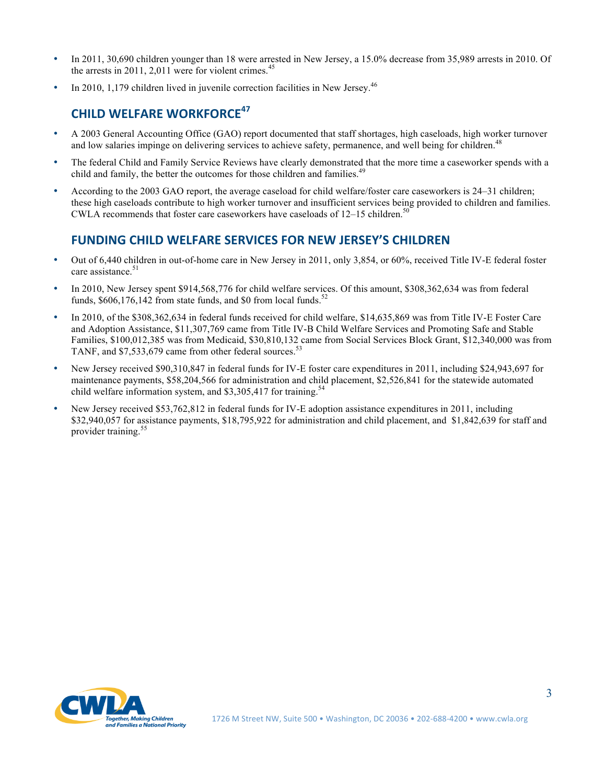- In 2011, 30,690 children younger than 18 were arrested in New Jersey, a 15.0% decrease from 35,989 arrests in 2010. Of the arrests in 2011, 2,011 were for violent crimes. $45$
- In 2010, 1,179 children lived in juvenile correction facilities in New Jersey.<sup>46</sup>

# **CHILD WELFARE WORKFORCE<sup>47</sup>**

- A 2003 General Accounting Office (GAO) report documented that staff shortages, high caseloads, high worker turnover and low salaries impinge on delivering services to achieve safety, permanence, and well being for children.<sup>4</sup>
- The federal Child and Family Service Reviews have clearly demonstrated that the more time a caseworker spends with a child and family, the better the outcomes for those children and families.<sup>49</sup>
- According to the 2003 GAO report, the average caseload for child welfare/foster care caseworkers is 24–31 children; these high caseloads contribute to high worker turnover and insufficient services being provided to children and families. CWLA recommends that foster care caseworkers have caseloads of  $12-15$  children.<sup>50</sup>

## **FUNDING CHILD WELFARE SERVICES FOR NEW JERSEY'S CHILDREN**

- Out of 6,440 children in out-of-home care in New Jersey in 2011, only 3,854, or 60%, received Title IV-E federal foster care assistance.<sup>51</sup>
- In 2010, New Jersey spent \$914,568,776 for child welfare services. Of this amount, \$308,362,634 was from federal funds,  $$606,176,142$  from state funds, and \$0 from local funds.<sup>52</sup>
- In 2010, of the \$308,362,634 in federal funds received for child welfare, \$14,635,869 was from Title IV-E Foster Care and Adoption Assistance, \$11,307,769 came from Title IV-B Child Welfare Services and Promoting Safe and Stable Families, \$100,012,385 was from Medicaid, \$30,810,132 came from Social Services Block Grant, \$12,340,000 was from TANF, and \$7,533,679 came from other federal sources.<sup>53</sup>
- New Jersey received \$90,310,847 in federal funds for IV-E foster care expenditures in 2011, including \$24,943,697 for maintenance payments, \$58,204,566 for administration and child placement, \$2,526,841 for the statewide automated child welfare information system, and \$3,305,417 for training.<sup>54</sup>
- New Jersey received \$53,762,812 in federal funds for IV-E adoption assistance expenditures in 2011, including \$32,940,057 for assistance payments, \$18,795,922 for administration and child placement, and \$1,842,639 for staff and provider training.<sup>55</sup>

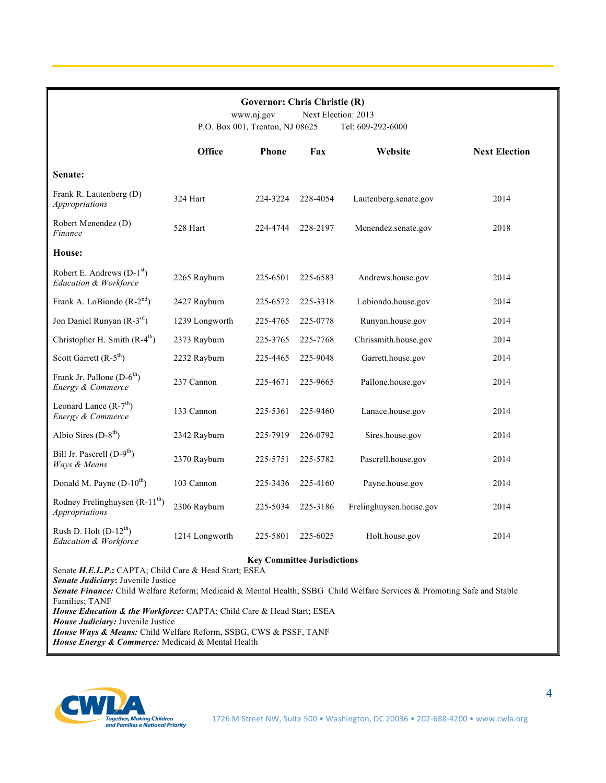| <b>Governor: Chris Christie (R)</b><br>Next Election: 2013<br>www.nj.gov<br>P.O. Box 001, Trenton, NJ 08625<br>Tel: 609-292-6000                                                                                                                                                                                                                        |                |          |          |                         |                      |  |  |
|---------------------------------------------------------------------------------------------------------------------------------------------------------------------------------------------------------------------------------------------------------------------------------------------------------------------------------------------------------|----------------|----------|----------|-------------------------|----------------------|--|--|
|                                                                                                                                                                                                                                                                                                                                                         | <b>Office</b>  | Phone    | Fax      | Website                 | <b>Next Election</b> |  |  |
| Senate:                                                                                                                                                                                                                                                                                                                                                 |                |          |          |                         |                      |  |  |
| Frank R. Lautenberg (D)<br><i>Appropriations</i>                                                                                                                                                                                                                                                                                                        | 324 Hart       | 224-3224 | 228-4054 | Lautenberg.senate.gov   | 2014                 |  |  |
| Robert Menendez (D)<br>Finance                                                                                                                                                                                                                                                                                                                          | 528 Hart       | 224-4744 | 228-2197 | Menendez.senate.gov     | 2018                 |  |  |
| House:                                                                                                                                                                                                                                                                                                                                                  |                |          |          |                         |                      |  |  |
| Robert E. Andrews $(D-1st)$<br>Education & Workforce                                                                                                                                                                                                                                                                                                    | 2265 Rayburn   | 225-6501 | 225-6583 | Andrews.house.gov       | 2014                 |  |  |
| Frank A. LoBiondo $(R-2nd)$                                                                                                                                                                                                                                                                                                                             | 2427 Rayburn   | 225-6572 | 225-3318 | Lobiondo.house.gov      | 2014                 |  |  |
| Jon Daniel Runyan (R-3rd)                                                                                                                                                                                                                                                                                                                               | 1239 Longworth | 225-4765 | 225-0778 | Runyan.house.gov        | 2014                 |  |  |
| Christopher H. Smith $(R-4th)$                                                                                                                                                                                                                                                                                                                          | 2373 Rayburn   | 225-3765 | 225-7768 | Chrissmith.house.gov    | 2014                 |  |  |
| Scott Garrett $(R-5th)$                                                                                                                                                                                                                                                                                                                                 | 2232 Rayburn   | 225-4465 | 225-9048 | Garrett.house.gov       | 2014                 |  |  |
| Frank Jr. Pallone $(D-6th)$<br>Energy & Commerce                                                                                                                                                                                                                                                                                                        | 237 Cannon     | 225-4671 | 225-9665 | Pallone.house.gov       | 2014                 |  |  |
| Leonard Lance $(R-7th)$<br>Energy & Commerce                                                                                                                                                                                                                                                                                                            | 133 Cannon     | 225-5361 | 225-9460 | Lanace.house.gov        | 2014                 |  |  |
| Albio Sires $(D-8th)$                                                                                                                                                                                                                                                                                                                                   | 2342 Rayburn   | 225-7919 | 226-0792 | Sires.house.gov         | 2014                 |  |  |
| Bill Jr. Pascrell (D-9 <sup>th</sup> )<br>Ways & Means                                                                                                                                                                                                                                                                                                  | 2370 Rayburn   | 225-5751 | 225-5782 | Pascrell.house.gov      | 2014                 |  |  |
| Donald M. Payne $(D-10^{th})$                                                                                                                                                                                                                                                                                                                           | 103 Cannon     | 225-3436 | 225-4160 | Payne.house.gov         | 2014                 |  |  |
| Rodney Frelinghuysen (R-11 <sup>th</sup> )<br>Appropriations                                                                                                                                                                                                                                                                                            | 2306 Rayburn   | 225-5034 | 225-3186 | Frelinghuysen.house.gov | 2014                 |  |  |
| Rush D. Holt (D-12 <sup>th</sup> )<br>Education & Workforce                                                                                                                                                                                                                                                                                             | 1214 Longworth | 225-5801 | 225-6025 | Holt.house.gov          | 2014                 |  |  |
| <b>Key Committee Jurisdictions</b><br>Senate H.E.L.P.: CAPTA; Child Care & Head Start; ESEA<br>Senate Judiciary: Juvenile Justice<br>Senate Finance: Child Welfare Reform; Medicaid & Mental Health; SSBG Child Welfare Services & Promoting Safe and Stable<br>Families; TANF<br>House Education & the Workforce: CAPTA; Child Care & Head Start; ESEA |                |          |          |                         |                      |  |  |

*House Judiciary:* Juvenile Justice

*House Ways & Means:* Child Welfare Reform, SSBG, CWS & PSSF, TANF *House Energy & Commerce:* Medicaid & Mental Health

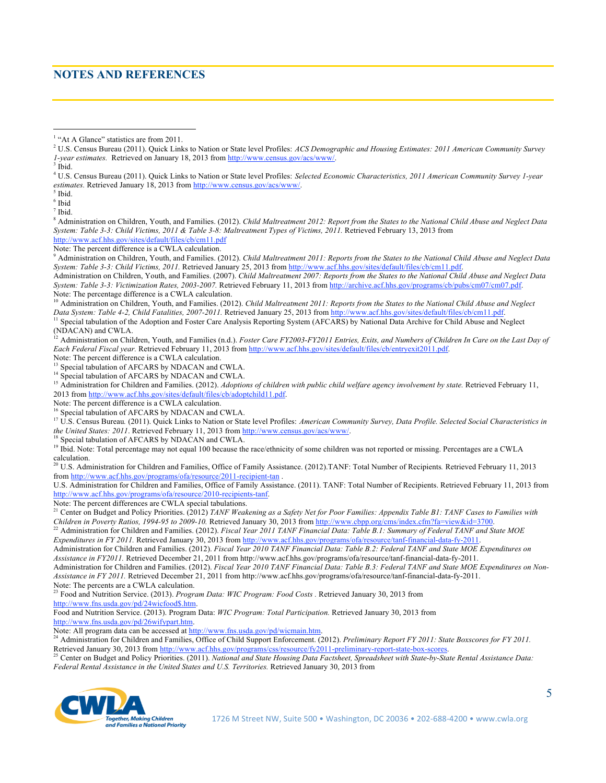#### **NOTES AND REFERENCES**

6 Ibid

 $<sup>7</sup>$  Ibid.</sup>

8 Administration on Children, Youth, and Families. (2012). *Child Maltreatment 2012: Report from the States to the National Child Abuse and Neglect Data System: Table 3-3: Child Victims, 2011 & Table 3-8: Maltreatment Types of Victims, 2011.* Retrieved February 13, 2013 from http://www.acf.hhs.gov/sites/default/files/cb/cm11.pdf

Note: The percent difference is a CWLA calculation.

9 Administration on Children, Youth, and Families. (2012). *Child Maltreatment 2011: Reports from the States to the National Child Abuse and Neglect Data System: Table 3-3: Child Victims, 2011.* Retrieved January 25, 2013 from http://www.acf.hhs.gov/sites/default/files/cb/cm11.pdf.

Administration on Children, Youth, and Families. (2007). *Child Maltreatment 2007: Reports from the States to the National Child Abuse and Neglect Data System: Table 3-3: Victimization Rates, 2003-2007.* Retrieved February 11, 2013 from http://archive.acf.hhs.gov/programs/cb/pubs/cm07/cm07.pdf. Note: The percentage difference is a CWLA calculation.

<sup>10</sup> Administration on Children, Youth, and Families. (2012). *Child Maltreatment 2011: Reports from the States to the National Child Abuse and Neglect Data System: Table 4-2, Child Fatalities, 2007-2011. Retrieved January* 

<sup>11</sup> Special tabulation of the Adoption and Foster Care Analysis Reporting System (AFCARS) by National Data Archive for Child Abuse and Neglect (NDACAN) and CWLA.

<sup>12</sup> Administration on Children, Youth, and Families (n.d.). *Foster Care FY2003-FY2011 Entries, Exits, and Numbers of Children In Care on the Last Day of Each Federal Fiscal year.* Retrieved February 11, 2013 from http://www.acf.hhs.gov/sites/default/files/cb/entryexit2011.pdf. Note: The percent difference is a CWLA calculation.

<sup>13</sup> Special tabulation of AFCARS by NDACAN and CWLA.

<sup>14</sup> Special tabulation of AFCARS by NDACAN and CWLA.

<sup>15</sup> Administration for Children and Families. (2012). *Adoptions of children with public child welfare agency involvement by state*. Retrieved February 11, 2013 from http://www.acf.hhs.gov/sites/default/files/cb/adoptchild11.pdf.

Note: The percent difference is a CWLA calculation.

Special tabulation of AFCARS by NDACAN and CWLA.

17 U.S. Census Bureau*.* (2011). Quick Links to Nation or State level Profiles: *American Community Survey, Data Profile. Selected Social Characteristics in the United States: 2011*. Retrieved February 11, 2013 from http://www.census.gov/acs/www/.

<sup>18</sup> Special tabulation of AFCARS by NDACAN and CWLA.

20 U.S. Administration for Children and Families, Office of Family Assistance. (2012).TANF: Total Number of Recipients*.* Retrieved February 11, 2013 from http://www.acf.hhs.gov/programs/ofa/resource/2011-recipient-tan .

U.S. Administration for Children and Families, Office of Family Assistance. (2011). TANF: Total Number of Recipients. Retrieved February 11, 2013 from http://www.acf.hhs.gov/programs/ofa/resource/2010-recipients-tanf.

Note: The percent differences are CWLA special tabulations.

<sup>21</sup> Center on Budget and Policy Priorities. (2012) *TANF Weakening as a Safety Net for Poor Families: Appendix Table B1: TANF Cases to Families with Children in Poverty Ratios, 1994-95 to 2009-10.* Retrieved January 30, 2013 from http://www.cbpp.org/cms/index.cfm?fa=view&id=3700.

<sup>22</sup> Administration for Children and Families. (2012). *Fiscal Year 2011 TANF Financial Data: Table B.1: Summary of Federal TANF and State MOE Expenditures in FY 2011.* Retrieved January 30, 2013 from http://www.acf.hhs.gov/programs/ofa/resource/tanf-financial-data-fy-2011.

Administration for Children and Families. (2012). *Fiscal Year 2010 TANF Financial Data: Table B.2: Federal TANF and State MOE Expenditures on Assistance in FY2011.* Retrieved December 21, 2011 from http://www.acf.hhs.gov/programs/ofa/resource/tanf-financial-data-fy-2011. Administration for Children and Families. (2012). *Fiscal Year 2010 TANF Financial Data: Table B.3: Federal TANF and State MOE Expenditures on Non-Assistance in FY 2011.* Retrieved December 21, 2011 from http://www.acf.hhs.gov/programs/ofa/resource/tanf-financial-data-fy-2011.

Note: The percents are a CWLA calculation. 23 Food and Nutrition Service. (2013). *Program Data: WIC Program: Food Costs .* Retrieved January 30, 2013 from http://www.fns.usda.gov/pd/24wicfood\$.htm.

Food and Nutrition Service. (2013). Program Data: *WIC Program: Total Participation.* Retrieved January 30, 2013 from http://www.fns.usda.gov/pd/26wifypart.htm.<br>Note: All program data can be accessed at http://www.fns.usda.gov/pd/wicmain.htm.

<sup>24</sup> Administration for Children and Families, Office of Child Support Enforcement. (2012). Preliminary Report FY 2011: State Boxscores for FY 2011. Retrieved January 30, 2013 from http://www.acf.hhs.gov/programs/css/resource/fy2011-preliminary-report-state-box-scores.

25 Center on Budget and Policy Priorities. (2011). *National and State Housing Data Factsheet, Spreadsheet with State-by-State Rental Assistance Data: Federal Rental Assistance in the United States and U.S. Territories.* Retrieved January 30, 2013 from



 $\frac{1}{1}$ <sup>1</sup> "At A Glance" statistics are from 2011.

<sup>2</sup> U.S. Census Bureau (2011). Quick Links to Nation or State level Profiles: *ACS Demographic and Housing Estimates: 2011 American Community Survey 1-year estimates.* Retrieved on January 18, 2013 from http://www.census.gov/acs/www/.

<sup>&</sup>lt;sup>3</sup> Ibid.

<sup>4</sup> U.S. Census Bureau (2011). Quick Links to Nation or State level Profiles: *Selected Economic Characteristics, 2011 American Community Survey 1-year*  estimates. Retrieved January 18, 2013 from http://www.census.gov/acs/www/

<sup>&</sup>lt;sup>5</sup> Ibid.

<sup>&</sup>lt;sup>19</sup> Ibid. Note: Total percentage may not equal 100 because the race/ethnicity of some children was not reported or missing. Percentages are a CWLA calculation.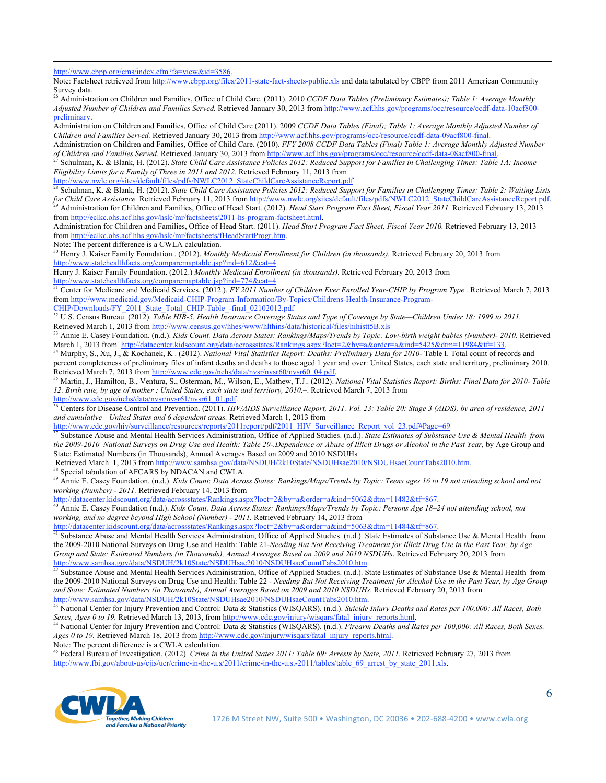http://www.cbpp.org/cms/index.cfm?fa=view&id=3586.

 $\overline{a}$ 

Note: Factsheet retrieved from http://www.cbpp.org/files/2011-state-fact-sheets-public.xls and data tabulated by CBPP from 2011 American Community Survey data.

26 Administration on Children and Families, Office of Child Care. (2011). 2010 *CCDF Data Tables (Preliminary Estimates); Table 1: Average Monthly Adjusted Number of Children and Families Served.* Retrieved January 30, 2013 from http://www.acf.hhs.gov/programs/occ/resource/ccdf-data-10acf800 preliminary.

Administration on Children and Families, Office of Child Care (2011). 2009 *CCDF Data Tables (Final); Table 1: Average Monthly Adjusted Number of Children and Families Served.* Retrieved January 30, 2013 from http://www.acf.hhs.gov/programs/occ/resource/ccdf-data-09acf800-final.

Administration on Children and Families, Office of Child Care. (2010). *FFY 2008 CCDF Data Tables (Final) Table 1: Average Monthly Adjusted Number of Children and Families Served.* Retrieved January 30, 2013 from http://www.acf.hhs.gov/programs/occ/resource/ccdf-data-08acf800-final.

27 Schulman, K. & Blank, H. (2012). *State Child Care Assistance Policies 2012: Reduced Support for Families in Challenging Times: Table 1A: Income Eligibility Limits for a Family of Three in 2011 and 2012.* Retrieved February 11, 2013 from

http://www.nwlc.org/sites/default/files/pdfs/NWLC2012\_StateChildCareAssistanceReport.pdf.

<sup>28</sup> Schulman, K. & Blank, H. (2012). *State Child Care Assistance Policies 2012: Reduced Support for Families in Challenging Times: Table 2: Waiting Lists* for Child Care Assistance. Retrieved February 11, 2013 from http://www.nwlc.org/sites/default/files/pdfs/NWLC2012\_StateChildCareAssistanceReport.pdf.<br><sup>29</sup> Administration for Children and Families, Office of Head Start. (20 from http://eclkc.ohs.acf.hhs.gov/hslc/mr/factsheets/2011-hs-program-factsheet.html.

Administration for Children and Families, Office of Head Start. (2011). *Head Start Program Fact Sheet, Fiscal Year 2010.* Retrieved February 13, 2013 from http://eclkc.ohs.acf.hhs.gov/hslc/mr/factsheets/fHeadStartProgr.htm.

Note: The percent difference is a CWLA calculation.

30 Henry J. Kaiser Family Foundation . (2012). *Monthly Medicaid Enrollment for Children (in thousands).* Retrieved February 20, 2013 from http://www.statehealthfacts.org/comparemaptable.jsp?ind=612&cat=4.

Henry J. Kaiser Family Foundation. (2012.) *Monthly Medicaid Enrollment (in thousands).* Retrieved February 20, 2013 from http://www.statehealthfacts.org/comparemaptable.jsp?ind=774&cat=4

<sup>31</sup> Center for Medicare and Medicaid Services. (2012.). *FY 2011 Number of Children Ever Enrolled Year-CHIP by Program Type*. Retrieved March 7, 2013 from http://www.medicaid.gov/Medicaid-CHIP-Program-Information/By-Topics/Childrens-Health-Insurance-Program-CHIP/Downloads/FY\_2011\_State\_Total\_CHIP-Table\_-final\_02102012.pdf

<sup>32</sup> U.S. Census Bureau. (2012). *Table HIB-5. Health Insurance Coverage Status and Type of Coverage by State—Children Under 18: 1999 to 2011.* Retrieved March 1, 2013 from http://www.census.gov/hhes/www/hlthins/data/historical/files/hihistt5B.xls

<sup>33</sup> Annie E. Casey Foundation. (n.d.). *Kids Count. Data Across States: Rankings/Maps/Trends by Topic: Low-birth weight babies (Number)- 2010. Retrieved March 1, 2013 from. http://datacenter.kidscount.org/data/acrossstate* 

<sup>34</sup> Murphy, S., Xu, J., & Kochanek, K. (2012). National Vital Statistics Report: Deaths: Preliminary Data for 2010-Table I. Total count of records and percent completeness of preliminary files of infant deaths and deaths to those aged 1 year and over: United States, each state and territory, preliminary 2010*.* Retrieved March 7, 2013 from http://www.cdc.gov/nchs/data/nysr/nysr60/nysr60\_04.pdf.<br><sup>35</sup> Martin, J., Hamilton, B., Ventura, S., Osterman, M., Wilson, E., Mathew, T.J.. (2012). National Vital Statistics Report: Births: Fin

*12. Birth rate, by age of mother : United States, each state and territory, 2010.–*. Retrieved March 7, 2013 from http://www.cdc.gov/nchs/data/nvsr/nvsr61/nvsr61\_01.pdf.

<sup>36</sup> Centers for Disease Control and Prevention. (2011). *HIV/AIDS Surveillance Report, 2011. Vol. 23: Table 20: Stage 3 (AIDS), by area of residence, 2011 and cumulative—United States and 6 dependent areas.* Retrieved March 1, 2013 from

http://www.cdc.gov/hiv/surveillance/resources/reports/2011report/pdf/2011\_HIV\_Surveillance\_Report\_vol\_23.pdf#Page=69

37 Substance Abuse and Mental Health Services Administration, Office of Applied Studies. (n.d.). *State Estimates of Substance Use & Mental Health from the 2009-2010 National Surveys on Drug Use and Health: Table 20-.Dependence or Abuse of Illicit Drugs or Alcohol in the Past Year,* by Age Group and State: Estimated Numbers (in Thousands), Annual Averages Based on 2009 and 2010 NSDUHs

Retrieved March 1, 2013 from http://www.samhsa.gov/data/NSDUH/2k10State/NSDUHsae2010/NSDUHsaeCountTabs2010.htm. 38 Special tabulation of AFCARS by NDACAN and CWLA.

39 Annie E. Casey Foundation. (n.d.). *Kids Count*: *Data Across States: Rankings/Maps/Trends by Topic: Teens ages 16 to 19 not attending school and not working (Number) - 2011.* Retrieved February 14, 2013 from

http://datacenter.kidscount.org/data/acrossstates/Rankings.aspx?loct=2&by=a&order=a&ind=5062&dtm=11482&tf=867.<br><sup>40</sup> Annie E. Casey Foundation (n.d.). *Kids Count. Data Across States: Rankings/Maps/Trends by Topic: Persons working, and no degree beyond High School (Number) - 2011.* Retrieved February 14, 2013 from

http://datacenter.kidscount.org/data/acrossstates/Rankings.aspx?loct=2&by=a&order=a&ind=5063&dtm=11484&tf=867.<br><sup>41</sup> Substance Abuse and Mental Health Services Administration, Office of Applied Studies. (n.d.). State Estima the 2009-2010 National Surveys on Drug Use and Health: Table 21-*Needing But Not Receiving Treatment for Illicit Drug Use in the Past Year, by Age Group and State: Estimated Numbers (in Thousands), Annual Averages Based on 2009 and 2010 NSDUHs*. Retrieved February 20, 2013 from http://www.samhsa.gov/data/NSDUH/2k10State/NSDUHsae2010/NSDUHsaeCountTabs2010.htm.<br><sup>42</sup> Substance Abuse and Mental Health Services Administration, Office of Applied Studies. (n.d.). State Estimates of Substance Use & Menta

the 2009-2010 National Surveys on Drug Use and Health: Table 22 - *Needing But Not Receiving Treatment for Alcohol Use in the Past Year, by Age Group and State: Estimated Numbers (in Thousands), Annual Averages Based on 2009 and 2010 NSDUHs*. Retrieved February 20, 2013 from http://www.samhsa.gov/data/NSDUH/2k10State/NSDUHsae2010/NSDUHsaeCountTabs2010.htm.

43 National Center for Injury Prevention and Control: Data & Statistics (WISQARS). (n.d.). *Suicide Injury Deaths and Rates per 100,000: All Races, Both*  Sexes, Ages 0 to 19. Retrieved March 13, 2013, from http://www.cdc.gov/injury/wisqars/fatal injury reports.html.<br><sup>44</sup> National Center for Injury Prevention and Control: Data & Statistics (WISQARS). (n.d.). Firearm Deaths a

*Ages 0 to 19.* Retrieved March 18, 2013 from http://www.cdc.gov/injury/wisqars/fatal\_injury\_reports.html.

Note: The percent difference is a CWLA calculation.

45 Federal Bureau of Investigation. (2012). *Crime in the United States 2011: Table 69: Arrests by State, 2011.* Retrieved February 27, 2013 from http://www.fbi.gov/about-us/cjis/ucr/crime-in-the-u.s/2011/crime-in-the-u.s.-2011/tables/table 69 arrest by state 2011.xls.